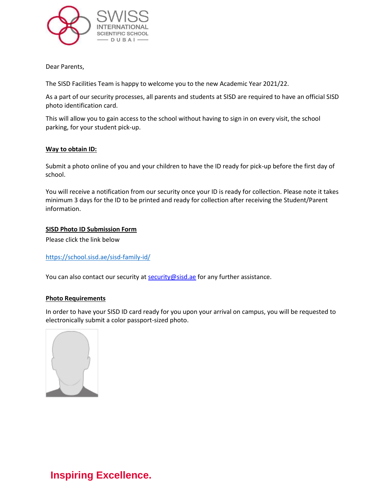

Dear Parents,

The SISD Facilities Team is happy to welcome you to the new Academic Year 2021/22.

As a part of our security processes, all parents and students at SISD are required to have an official SISD photo identification card.

This will allow you to gain access to the school without having to sign in on every visit, the school parking, for your student pick-up.

## **Way to obtain ID:**

 Submit a photo online of you and your children to have the ID ready for pick-up before the first day of school.

 You will receive a notification from our security once your ID is ready for collection. Please note it takes minimum 3 days for the ID to be printed and ready for collection after receiving the Student/Parent information.

## **SISD Photo ID Submission Form**

Please click the link below

<https://school.sisd.ae/sisd-family-id/>

You can also contact our security at [security@sisd.ae](mailto:security@sisd.ae) for any further assistance.

## **Photo Requirements**

In order to have your SISD ID card ready for you upon your arrival on campus, you will be requested to electronically submit a color passport-sized photo.



**Inspiring Excellence.**